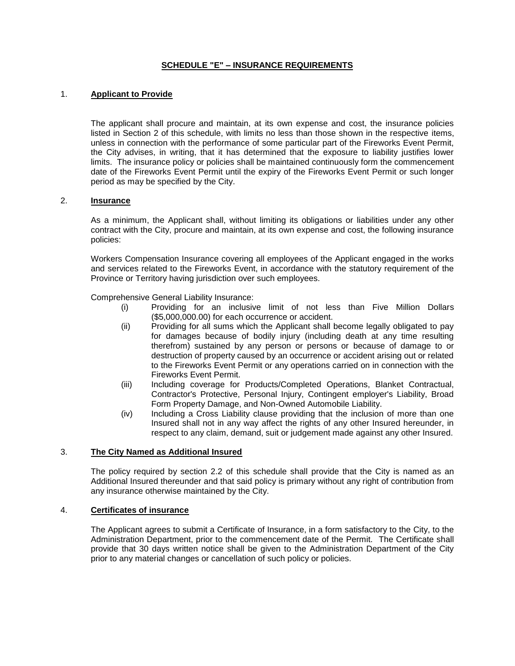# **SCHEDULE "E" – INSURANCE REQUIREMENTS**

## 1. **Applicant to Provide**

The applicant shall procure and maintain, at its own expense and cost, the insurance policies listed in Section 2 of this schedule, with limits no less than those shown in the respective items, unless in connection with the performance of some particular part of the Fireworks Event Permit, the City advises, in writing, that it has determined that the exposure to liability justifies lower limits. The insurance policy or policies shall be maintained continuously form the commencement date of the Fireworks Event Permit until the expiry of the Fireworks Event Permit or such longer period as may be specified by the City.

## 2. **Insurance**

As a minimum, the Applicant shall, without limiting its obligations or liabilities under any other contract with the City, procure and maintain, at its own expense and cost, the following insurance policies:

Workers Compensation Insurance covering all employees of the Applicant engaged in the works and services related to the Fireworks Event, in accordance with the statutory requirement of the Province or Territory having jurisdiction over such employees.

Comprehensive General Liability Insurance:

- (i) Providing for an inclusive limit of not less than Five Million Dollars (\$5,000,000.00) for each occurrence or accident.
- (ii) Providing for all sums which the Applicant shall become legally obligated to pay for damages because of bodily injury (including death at any time resulting therefrom) sustained by any person or persons or because of damage to or destruction of property caused by an occurrence or accident arising out or related to the Fireworks Event Permit or any operations carried on in connection with the Fireworks Event Permit.
- (iii) Including coverage for Products/Completed Operations, Blanket Contractual, Contractor's Protective, Personal Injury, Contingent employer's Liability, Broad Form Property Damage, and Non-Owned Automobile Liability.
- (iv) Including a Cross Liability clause providing that the inclusion of more than one Insured shall not in any way affect the rights of any other Insured hereunder, in respect to any claim, demand, suit or judgement made against any other Insured.

## 3. **The City Named as Additional Insured**

The policy required by section 2.2 of this schedule shall provide that the City is named as an Additional Insured thereunder and that said policy is primary without any right of contribution from any insurance otherwise maintained by the City.

#### 4. **Certificates of insurance**

The Applicant agrees to submit a Certificate of Insurance, in a form satisfactory to the City, to the Administration Department, prior to the commencement date of the Permit. The Certificate shall provide that 30 days written notice shall be given to the Administration Department of the City prior to any material changes or cancellation of such policy or policies.